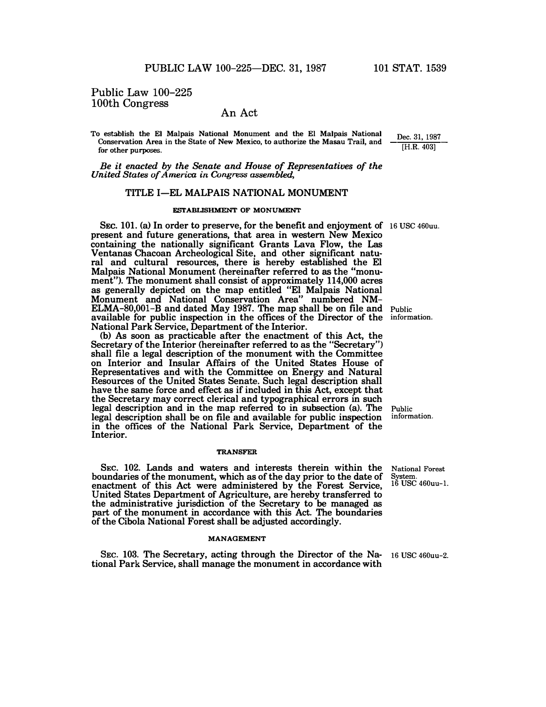**Dec. 31, 1987 [H.R. 403]** 

# Public Law 100-225 100th Congress

# An Act

**To establish the El Malpais National Monument and the El Malpais National Conservation Area in the State of New Mexico, to authorize the Masau Trail, and for other purposes.** 

*Be it enacted by the Senate and House of Representatives of the United States of America in Congress assembled,* 

# **TITLE I-EL MALPAIS NATIONAL MONUMENT**

# **FSrABLISHMENT OF MONUMENT**

SEC. 101. (a) In order to preserve, for the benefit and enjoyment of 16 USC 460uu. **present and future generations, that area in western New Mexico containing the nationally significant Grants Lava Flow, the Las Ventanas Chacoan Archeological Site, and other significant natural and cultural resources, there is hereby established the El Malpais National Monument (hereinafter referred to as the "monument"). The monument shall consist of approximately 114,000 acres as generally depicted on the map entitled "El Malpais National Monument and National Conservation Area" numbered NM-ELMA-80,001-B and dated May 1987. The map shall be on file and available for public inspection in the offices of the Director of the information. National Park Service, Department of the Interior.** 

**(b) As soon as practicable after the enactment of this Act, the Secretary of the Interior (hereinafter referred to as the "Secretary") shall file a legal description of the monument with the Committee on Interior and Insular Affairs of the United States House of Representatives and with the Committee on Energy and Natural Resources of the United States Senate. Such legal description shall have the same force and effect as if included in this Act, except that the Secretary may correct clerical and typographical errors in such legal description and in the map referred to in subsection (a). The legal description shall be on file and available for public inspection in the offices of the National Park Service, Department of the Interior.** 

#### **TRANSFER**

**SEC. 102. Lands and waters and interests therein within the boundaries of the monument, which as of the day prior to the date of enactment of this Act were administered by the Forest Service, United States Department of Agriculture, are hereby transferred to the administrative jurisdiction of the Secretary to be managed as part of the monument in accordance with this Act. The boundaries of the Cibola National Forest shall be adjusted accordingly.** 

#### **MANAGEMENT**

**SEC. 103. The Secretary, acting through the Director of the Na-16 USC 460uu-2. tional Park Service, shall manage the monument in accordance with** 

**Public** 

**Public information.** 

**National Forest** 

**System. 16 USC 460uu-l.**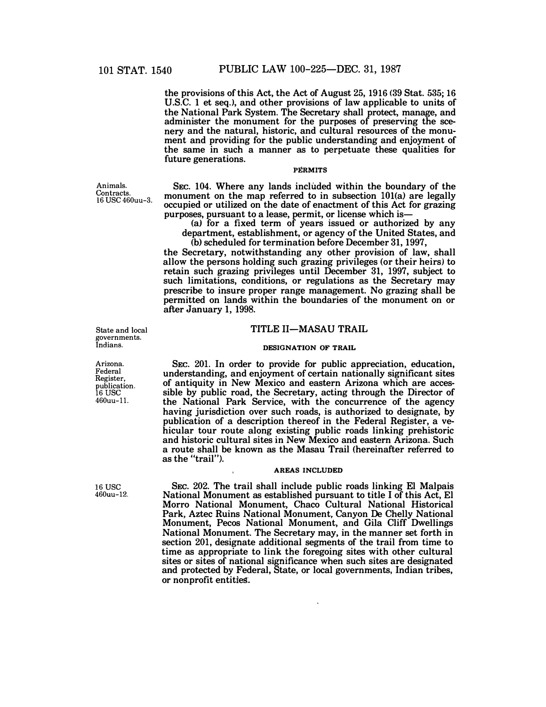**the provisions of this Act, the Act of August 25, 1916 (39 Stat. 535; 16 U.S.C. 1 et seq.), and other provisions of law applicable to units of the National Park System. The Secretary shall protect, manage, and administer the monument for the purposes of preserving the scenery and the natural, historic, and cultural resources of the monument and providing for the public understanding and enjoyment of the same in such a manner as to perpetuate these qualities for future generations.** 

# **PERMITS**

**SEc. 104. Where any lands included within the boundary of the**  monument on the map referred to in subsection 101(a) are legally **occupied or utilized on the date of enactment of this Act for grazing purposes, pursuant to a lease, permit, or license which is-**

**(a) for a fixed term of years issued or authorized by any department, establishment, or agency of the United States, and (b) scheduled for termination before December 31, 1997,** 

**the Secretary, notwithstanding any other provision of law, shall allow the persons holding such grazing privileges (or their heirs) to retain such grazing privileges until December 31, 1997, subject to such limitations, conditions, or regulations as the Secretary may prescribe to insure proper range management. No grazing shall be permitted on lands within the boundaries of the monument on or after January 1, 1998.** 

# **TITLE 11-MASAU TRAIL**

### **DESIGNATION OF TRAIL**

**SEc. 201. In order to provide for public appreciation, education, understanding, and enjoyment of certain nationally significant sites of antiquity in New Mexico and eastern Arizona which are accessible by public road, the Secretary, acting through the Director of the National Park Service, with the concurrence of the agency having jurisdiction over such roads, is authorized to designate, by publication of a description thereof in the Federal Register, a vehicular tour route along existing public roads linking prehistoric and historic cultural sites in New Mexico and eastern Arizona. Such a route shall be known as the Masau Trail (hereinafter referred to as the "trail").** 

# **AREAS INCLUDED**

**SEC. 202. The trail shall include public roads linking El Malpais National Monument as established pursuant to title I of this Act, El Morro National Monument, Chaco Cultural National Historical Park, Aztec Ruins National Monument, Canyon De Chelly National Monument, Pecos National Monument, and Gila Cliff Dwellings National Monument. The Secretary may, in the manner set forth in section 201, designate additional segments of the trail from time to time as appropriate to link the foregoing sites with other cultural sites or sites of national significance when such sites are designated and protected by Federal, State, or local governments, Indian tribes, or nonprofit entities-.** 

Animals. Contracts. 16 USC 460uu-3.

State and local governments. Indians.

Arizona. Federal Register, publication. 16 USC 460uu-11.

16 USC 460uu-12.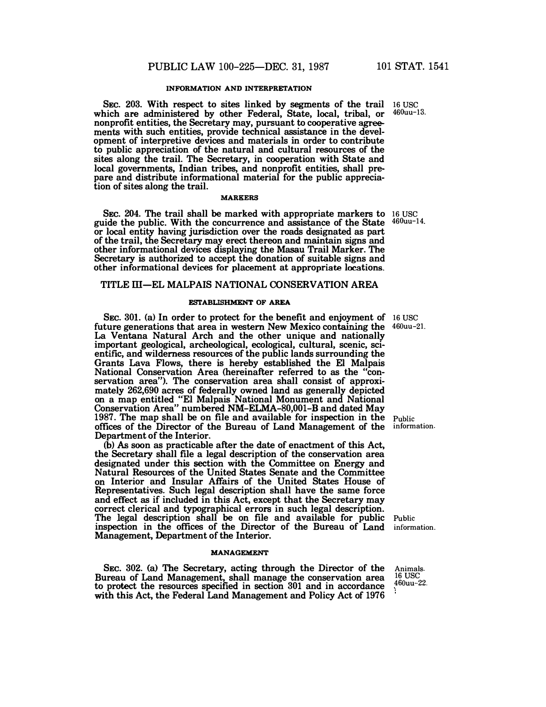# **INFORMATION AND INTERPRETATION**

**SEC. 203. With respect to sites linked by segments of the trail which are administered by other Federal, State, local, tribal, or ments with such entities, provide technical assistance in the nonprofit entities, the Secretary may, pursuant to cooperative agreements with such entities, provide technical assistance in the development of interpretive devices and materials in order to contribute to public appreciation of the natural and cultural resources of the sites along the trail. The Secretary, in cooperation with State and local governments, Indian tribes, and nonprofit entities, shall prepare and distribute informational material for the public appreciation of sites along the trail.** 

## **MARKERS**

**SEC.** 204. **The trail shall be marked with appropriate markers to 16 use guide the public. With the concurrence and assistance of the State or local entity having jurisdiction over the roads designated as part of the trail, the Secretary may erect thereon and maintain signs and other informational devices displaying the Masau Trail Marker. The Secretary is authorized to accept the donation of suitable signs and**  other informational devices for placement at appropriate locations.

# **TITLE ill-EL MALPAIS NATIONAL CONSERVATION AREA**

## **ESTABLISHMENT OF AREA**

**SEC.** 301. (a) In order to protect for the benefit and enjoyment of 16 USC **future generations that area in western New Mexico containing the 460uu-21. La Ventana Natural Arch and the other unique and nationally important geological, archeological, ecological, cultural, scenic, scientific, and wilderness resources of the public lands surrounding the Grants Lava Flows, there is hereby established the El Malpais National Conservation Area (hereinafter referred to as the "conservation area"). The conservation area shall consist of approximately** 262,690 **acres of federally owned land as generally depicted on a map entitled "El Malpais National Monument and National Conservation Area" numbered** NM-ELMA-80,001-B **and dated May**  1987. **The map shall be on file and available for inspection in the offices of the Director of the Bureau of Land Management of the Department of the Interior.** 

**(b)** As **soon as practicable after the date of enactment of this Act, the Secretary shall file a legal description of the conservation area designated under this section with the Committee on Energy and Natural Resources of the United States Senate and the Committee on Interior and Insular Affairs of the United States House of Representatives. Such legal description shall have the same force and effect as if included in this Act, except that the Secretary may correct clerical and typographical errors in such legal description. The legal description shall be on file and available for public Public inspection in the offices of the Director of the Bureau of Land inform Management, Department of the Interior.** 

### **MANAGEMENT**

**SEC. 302. (a) The Secretary, acting through the Director of the Bureau of Land Management, shall manage the conservation area to protect the resources specified in section** 301 **and in accordance with this Act, the Federal Land Management and Policy Act of** 1976

**Public information.** 

**information.** 

**Animals. 16 use 460uu-22.**

**16 USC 460uu-13.** 

**460uu-14.**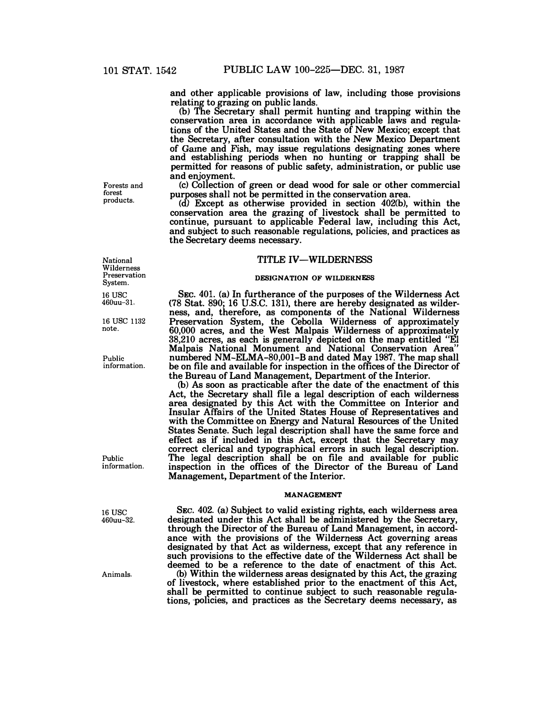**and other applicable provisions of law, including those provisions relating to grazing on public lands.** 

**(b) The Secretary shall permit hunting and trapping within the conservation area in accordance with applicable laws and regulations of the United States and the State of New Mexico; except that the Secretary, after consultation with the New Mexico Department of Grune and Fish, may issue regulations designating zones where and establishing periods when no hunting or trapping shall be permitted for reasons of public safety, administration, or public use and enjoyment.** 

**(c) Collection of green or dead wood for sale or other commercial purposes shall not be permitted in the conservation area.** 

**(d) Except as otherwise provided in section 402(b), within the conservation area the grazing of livestock shall be permitted to continue, pursuant to applicable Federal law, including this Act, and subject to such reasonable regulations, policies, and practices as the Secretary deems necessary.** 

# **TITLE IV-WILDERNESS**

### **DESIGNATION OF WILDERNESS**

**SEc. 401. (a) In furtherance of the purposes of the Wilderness Act (78 Stat. 890; 16 U.S.C. 131), there are hereby designated as wilderness, and, therefore, as components of the National Wilderness Preservation System, the Cebolla Wilderness of approximately 60,000 acres, and the West Malpais Wilderness of approximately 38,210 acres, as each is generally depicted on the map entitled "EI Malpais National Monument and National Conservation Area" numbered NM-ELMA-80,001-B and dated May 1987. The map shall be on file and available for inspection in the offices of the Director of the Bureau of Land Management, Department of the Interior.** 

(b) **As soon as practicable after the date of the enactment of this Act, the Secretary shall file a legal description of each wilderness area designated by this Act with the Committee on Interior and Insular Affairs of the United States House of Representatives and with the Committee on Energy and Natural Resources of the United States Senate. Such legal description shall have the same force and effect as if included in this Act, except that the Secretary may correct clerical and typographical errors in such legal description. The legal description shall be on file and available for public inspection in the offices of the Director of the Bureau of Land Management, Department of the Interior.** 

### **MANAGEMENT**

**SEC. 402. (a) Subject to valid existing rights, each wilderness area designated under this Act shall be administered by the Secretary, through the Director of the Bureau of Land Management, in accordance with the provisions of the Wilderness Act governing areas designated by that Act as wilderness, except that any reference in such provisions to the effective date of the Wilderness Act shall be deemed to be a reference to the date of enactment of this Act. (b) Within the wilderness areas designated by this Act, the grazing of livestock, where established prior to the enactment of this Act, shall be permitted to continue subject to such reasonable regula**tions, policies, and practices as the Secretary deems necessary, as

**products.** 

**Forests and forest** 

**National Wilderness Preservation System.** 

**16USC 460uu-31.** 

**<sup>16</sup>**use **11s2 note.** 

**Public information.** 

**Public information.** 

**16USC 460uu-32.** 

**Animals.**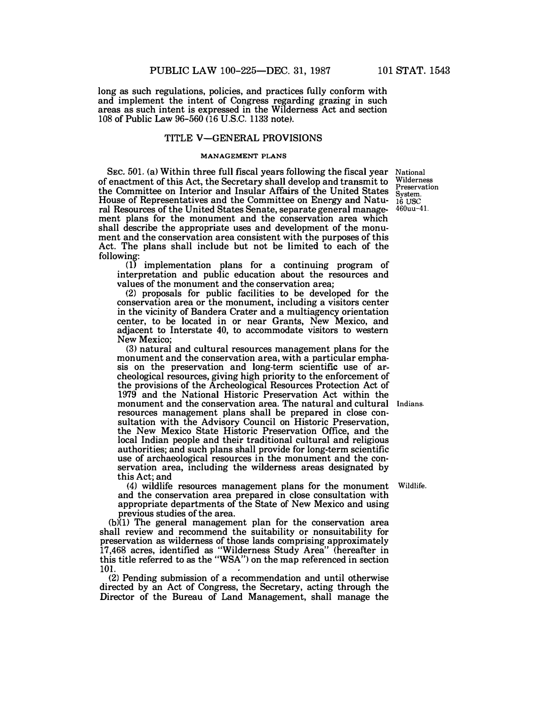**long as such regulations, policies, and practices fully conform with and implement the intent of Congress regarding grazing in such areas as such intent is expressed in the Wilderness Act and section 108 of Public Law** 96-560 (16 **U.S.C. 1133 note).** 

# **TITLE V-GENERAL PROVISIONS**

# **MANAGEMENT PLANS**

**SEC.** 501. **(a) Within three full fiscal years following the fiscal year of enactment of this Act, the Secretary shall develop and transmit to the Committee on Interior and Insular Affairs of the United States**  the Committee on Interior and Insular Affairs of the United States System.<br>House of Representatives and the Committee on Energy and Natu-16 USC **ral Resources of the United States Senate, separate general management plans for the monument and the conservation area which shall describe the appropriate uses and development of the monument and the conservation area consistent with the purposes of this Act. The plans shall include but not be limited to each of the following:** 

**(1) implementation plans for a continuing program of interpretation and public education about the resources and values of the monument and the conservation area;** 

**(2) proposals for public facilities** to **be developed for the conservation area or the monument, including a visitors center in the vicinity of Bandera Crater and a multiagency orientation center, to be located in or near Grants, New Mexico, and adjacent to Interstate 40, to accommodate visitors to western New Mexico;** 

**(3) natural and cultural resources management plans for the monument and the conservation area, with a particular emphasis on the preservation and long-term scientific use of archeological resources, giving high priority to the enforcement of the provisions of the Archeological Resources Protection Act of**  1979 **and the National Historic Preservation Act within the monument and the conservation area. The natural and cultural Indians. resources management plans shall be prepared in close consultation with the Advisory Council on Historic Preservation, the New Mexico State Historic Preservation Office, and the local Indian people and their traditional cultural and religious authorities; and such plans shall provide for long-term scientific use of archaeological resources in the monument and the conservation area, including the wilderness areas designated by this Act; and** 

**(4) wildlife resources management plans for the monument Wildlife. and the conservation area prepared in close consultation with appropriate departments of the State of New Mexico and using previous studies of the area.** 

(b)(l) **The general management plan for the conservation area shall review and recommend the suitability or nonsuitability for preservation as wilderness of those lands comprising approximately**  17,468 **acres, identified as "Wilderness Study Area" (hereafter in this title referred to as the "WSA") on the map referenced in section**  101.

**(2) Pending submission of a recommendation and until otherwise directed by an Act of Congress, the Secretary, acting through the Director of the Bureau of Land Management, shall manage the** 

**National Wilderness Preservation 460uu-41.**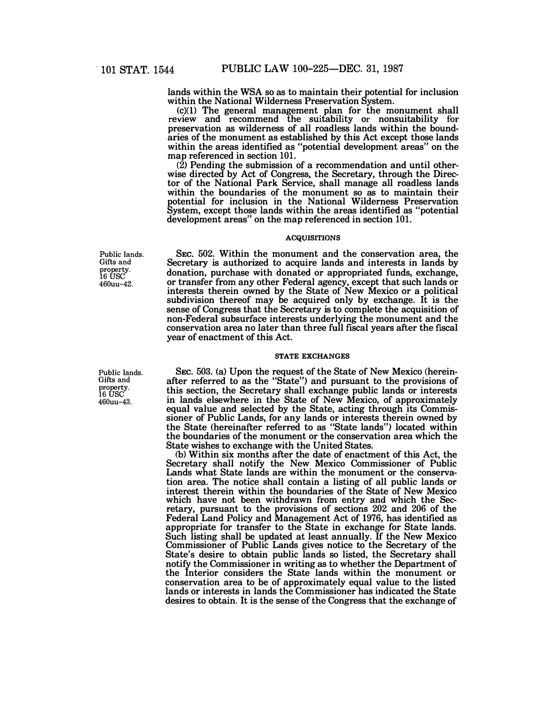**lands within the WSA so as to maintain their potential for inclusion within the National Wilderness Preservation System.** 

**(c)(l) The general management plan for the monument shall review and recommend the suitability or nonsuitability for preservation as wilderness of all roadless lands within the boundaries of the monument as established by this Act except those lands within the areas identified as "potential development areas" on the map referenced in section 101.** 

**(2) Pending the submission of a recommendation and until otherwise directed by Act of Congress, the Secretary, through the Director of the National Park Service, shall manage all roadless lands within the boundaries of the monument so as to maintain their potential for inclusion in the National Wilderness Preservation System, except those lands within the areas identified as "potential development areas" on the map referenced in section 101.** 

# **ACQUISITIONS**

**SEC. 502. Within the monument and the conservation area, the Secretary is authorized to acquire lands and interests in lands by donation, purchase with donated or appropriated funds, exchange, or transfer from any other Federal agency, except that such lands or interests therein owned by the State of New Mexico or a political subdivision thereof may be acquired only by exchange. It is the sense of Congress that the Secretary is** to **complete the acquisition of non-Federal subsurface interests underlying the monument and the conservation area no later than three full fiscal years after the fiscal year of enactment of this Act.** 

# **STATE EXCHANGES**

**SEC. 503. (a) Upon the request of the State of New Mexico (hereinafter referred to as the "State") and pursuant to the provisions of this section, the Secretary shall exchange public lands or interests in lands elsewhere in the State of New Mexico, of approximately equal value and selected by the State, acting through its Commissioner of Public Lands, for any lands or interests therein owned by the State (hereinafter referred to as "State lands") located within the boundaries of the monument or the conservation area which the State wishes to exchange with the United States.** 

(b) **Within six months after the date of enactment of this Act, the Secretary shall notify the New Mexico Commissioner of Public Lands what State lands are within the monument or the conservation area. The notice shall contain a listing of all public lands or interest therein within the boundaries of the State of New Mexico which have not been withdrawn from entry and which the Secretary, pursuant to the provisions of sections 202 and 206 of the Federal Land Policy and Management Act of 1976, has identified as appropriate for transfer to the State in exchange for State lands. Such listing shall be updated at least annually. If the New Mexico Commissioner of Public Lands gives notice to the Secretary of the State's desire to obtain public lands so listed, the Secretary shall notify the Commissioner in writing as to whether the Department of the Interior considers the State lands within the monument or conservation area to be of approximately equal value to the listed lands or interests in lands the Commissioner has indicated the State desires to obtain. It is the sense of the Congress that the exchange of** 

**Public lands. Gifts and property.**   $16$  USC **460uu-42.** 

**Public lands. Gifts and property.**   $16$  USC<sup> $\overline{C}$ </sup> **460uu-43.**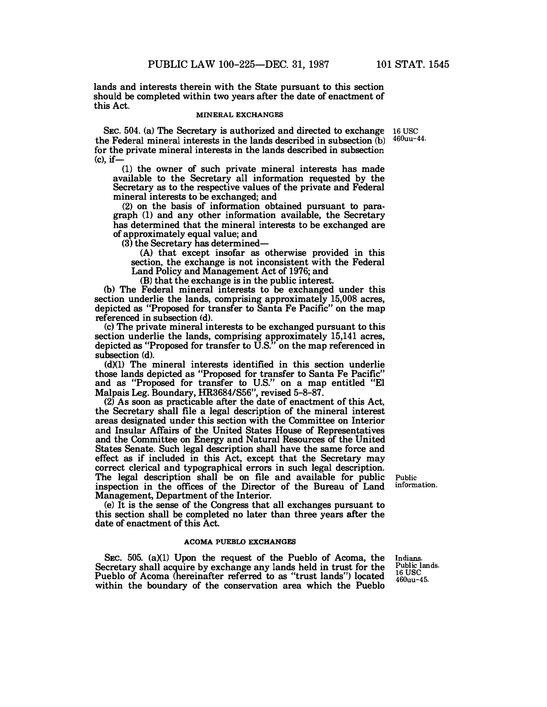**lands and interests therein with the State pursuant to this section should be completed within two years after the date of enactment of this Act.** 

#### **MINERAL EXCHANGES**

SEC. 504. (a) The Secretary is authorized and directed to exchange 16 USC **the Federal mineral interests in the lands described in subsection** (b) **for the private mineral interests in the lands described in subsection (c), if-**

(1) **the owner of such private mineral interests has made available to the Secretary all information requested by the Secretary as to the respective values of the private and Federal mineral interests to be exchanged; and** 

**(2) on the basis of information obtained pursuant to paragraph (1) and any other information available, the Secretary has determined that the mineral interests** to **be exchanged are of approximately equal value; and** 

**(3) the Secretary has determined-**

**(A) that except insofar as otherwise provided in this section, the exchange is not inconsistent with the Federal Land Policy and Management Act of 1976; and** 

(B) **that the exchange is in the public interest.** 

**(b) The Federal mineral interests to be exchanged under this section underlie the lands, comprising approximately 15,008 acres, depicted as "Proposed for transfer to Santa Fe Pacific" on the map referenced in subsection (d).** 

**(c) The private mineral interests to be exchanged pursuant to this section underlie the lands, comprising approximately 15,141 acres, depicted as "Proposed for transfer to U.S." on the map referenced in subsection (d).** 

**(dXl) The mineral interests identified in this section underlie those lands depicted as "Proposed for transfer to Santa Fe Pacific" and as "Proposed for transfer to U.S." on a map entitled "El Malpais Leg. Boundary, HR3684/S56", revised 5-8-87.** 

**(2) As soon as practicable after the date of enactment of this Act, the Secretary shall file a legal description of the mineral interest areas designated under this section with the Committee on Interior and Insular Affairs of the United States House of Representatives and the Committee on Energy and Natural Resources of the United States Senate. Such legal description shall have the same force and effect as if included in this Act, except that the Secretary may correct clerical and typographical errors in such legal description. The legal description shall be on file and available for public inspection in the offices of the Director of the Bureau of Land Management, Department of the Interior.** 

**(e)** It **is the sense of the Congress that all exchanges pursuant to this section shall be completed no later than three years after the date of enactment of this Act.** 

#### **ACOMA PUEBLO EXCHANGES**

SEC. 505. (a)(1) Upon the request of the Pueblo of Acoma, the **Secretary shall acquire by exchange any lands held in trust for the Pueblo of Acoma (hereinafter referred to as "trust lands") located within the boundary of the conservation area which the Pueblo** 

**Public information.** 

**Indians. Public lands. 16 USC 460uu-45.** 

**460uu-44.**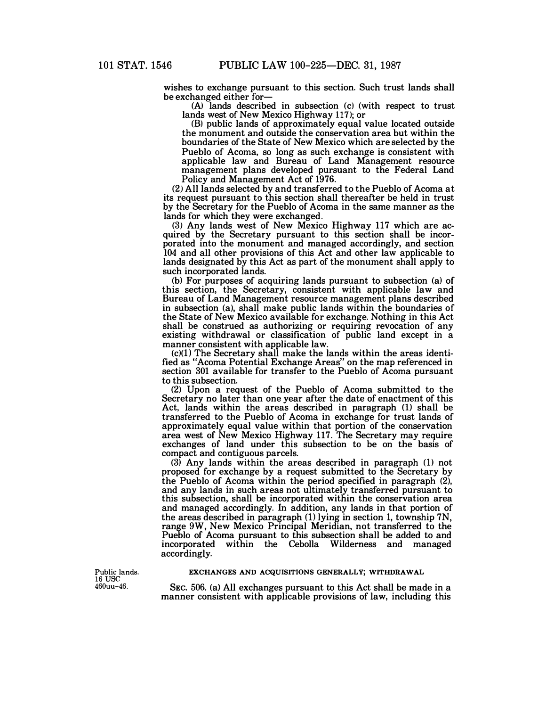**wishes to exchange pursuant to this section. Such trust lands shall be exchanged either for-**

**(A) lands described in subsection (c) (with respect to trust lands west of New Mexico Highway 117); or** 

**(B) public lands of approximately equal value located outside the monument and outside the conservation area but within the boundaries of the State of New Mexico which are selected by the Pueblo of Acoma, so long as such exchange is consistent with applicable law and Bureau of Land Management resource management plans developed pursuant to the Federal Land Policy and Management Act of 1976.** 

**(2) All lands selected by and transferred to the Pueblo of Acoma at its request pursuant to this section shall thereafter be held in trust by the Secretary for the Pueblo of Acoma in the same manner as the lands for which they were exchanged.** 

**(3) Any lands west of New Mexico Highway 117 which are acquired by the Secretary pursuant to this section shall be incorporated into the monument and managed accordingly, and section 104 and all other provisions of this Act and other law applicable to lands designated by this Act as part of the monument shall apply to such incorporated lands.** 

**(b) For purposes of acquiring lands pursuant to subsection (a) of this section, the Secretary, consistent with applicable law and Bureau of Land Management resource management plans described in subsection (a), shall make public lands within the boundaries of the State of New Mexico available for exchange. Nothing in this Act shall be construed as authorizing or requiring revocation of any existing withdrawal or classification of public land except in a manner consistent with applicable law.** 

**(c)(l) The Secretary shall make the lands within the areas identified as "Acoma Potential Exchange Areas" on the map referenced in section 301 available for transfer to the Pueblo of Acoma pursuant to this subsection.** 

**(2) Upon a request of the Pueblo of Acoma submitted to the Secretary no later than one year after the date of enactment of this Act, lands within the areas described in paragraph (1) shall be transferred to the Pueblo of Acoma in exchange for trust lands of approximately equal value within that portion of the conservation area west of New Mexico Highway 117. The Secretary may require exchanges of land under this subsection to be on the basis of compact and contiguous parcels.** 

**(3) Any lands within the areas described in paragraph (1) not proposed for exchange by a request submitted to the Secretary by the Pueblo of Acoma within the period specified in paragraph (2), and any lands in such areas not ultimately transferred pursuant to this subsection, shall be incorporated within the conservation area and managed accordingly. In addition, any lands in that portion of the areas described in paragraph (1) lying in section 1, township 7N, range 9W, New Mexico Principal Meridian, not transferred to the Pueblo of Acoma pursuant to this subsection shall be added to and incorporated within the Cebolla Wilderness and managed accordingly.** 

#### Public lands. 16 USC 460uu-46.

## **EXCHANGES AND ACQUISITIONS GENERALLY; WITHDRAWAL**

**SEc. 506. (a) All exchanges pursuant to this Act shall be made in a manner consistent with applicable provisions of law, including this**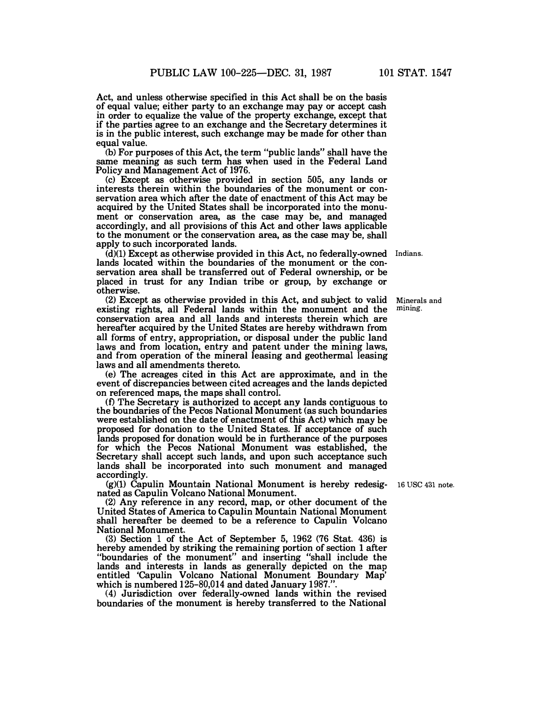**Act, and unless otherwise specified in this Act shall be on the basis of equal value; either party to an exchange may pay or accept cash in order to equalize the value of the property exchange, except that if the parties agree to an exchange and the Secretary determines it is in the public interest, such exchange may be made for other than equal value.** 

(b) **For purposes of this Act, the term "public lands" shall have the same meaning as such term has when used in the Federal Land Policy and Management Act of** 1976.

**(c) Except as otherwise provided in section** 505, **any lands or interests therein within the boundaries of the monument or conservation area which after the date of enactment of this Act may be acquired by the United States shall be incorporated into the monument or conservation area, as the case may be, and managed accordingly, and all provisions of this Act and other laws applicable to the monument or the conservation area, as the case may be, shall apply to such incorporated lands.** 

**(d)(l) Except as otherwise provided in this Act, no federally-owned Indians. lands located within the boundaries of the monument or the conservation area shall be transferred out of Federal ownership, or be placed in trust for any Indian tribe or group, by exchange or otherwise.** 

**(2) Except as otherwise provided in this Act, and subject to valid existing rights, all Federal lands within the monument and the conservation area and all lands and interests therein which are hereafter acquired by the United States are hereby withdrawn from all forms of entry, appropriation, or disposal under the public land laws and from location, entry and patent under the mining laws, and from operation of the mineral leasing and geothermal leasing laws and all amendments thereto. mining.** 

**(e) The acreages cited in this Act are approximate, and in the event of discrepancies between cited acreages and the lands depicted on referenced maps, the maps shall control.** 

**(0 The Secretary is authorized to accept any lands contiguous to the boundaries of the Pecos National Monument (as such boundaries were established on the date of enactment of this Act) which may be proposed for donation to the United States.** If **acceptance of such lands proposed for donation would be in furtherance of the purposes for which the Pecos National Monument was established, the Secretary shall accept such lands, and upon such acceptance such lands shall be incorporated into such monument and managed accordingly.** 

**(g)(l) Capulin Mountain National Monument is hereby redesig-16 use 431 note. nated as Capulin Volcano National Monument.** 

**(2) Any reference in any record, map, or other document of the United States of America to Capulin Mountain National Monument shall hereafter be deemed to be a reference to Capulin Volcano National Monument.** 

**(3) Section 1 of the Act of September 5, 1962 (76 Stat. 436) is hereby amended by striking the remaining portion of section 1 after "boundaries of the monument" and inserting "shall include the lands and interests in lands as generally depicted on the map entitled 'Capulin Volcano National Monument Boundary Map' which is numbered** 125-80,014 **and dated January** 1987.".

**(4) Jurisdiction over federally-owned lands within the revised boundaries of the monument is hereby transferred to the National** 

**Minerals and**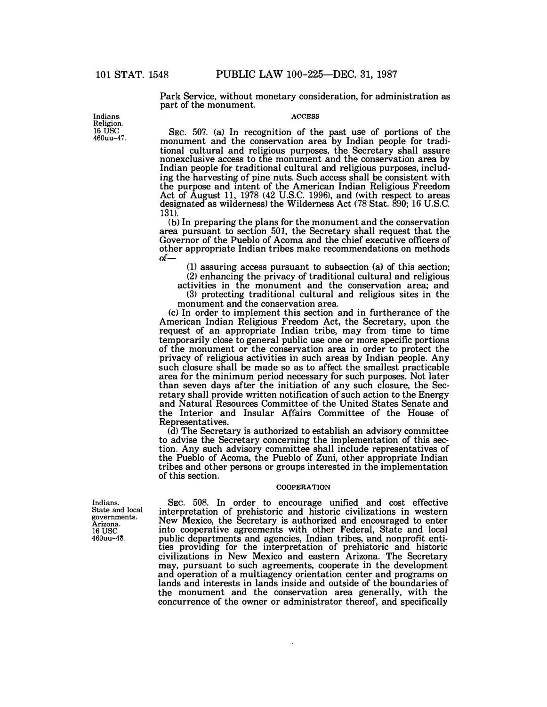**Park Service, without monetary consideration, for administration as part of the monument.** 

# **ACCESS**

**SEC. 507. (a) In recognition of the past use of portions of the monument and the conservation area by Indian people for traditional cultural and religious purposes, the Secretary shall assure**  Indian people for traditional cultural and religious purposes, includ**ing the harvesting of pine nuts. Such access shall be consistent with the purpose and intent of the American Indian Religious Freedom Act of August 11, 1978 (42 U.S.C. 1996), and (with respect to areas designated as wilderness) the Wilderness Act (78 Stat. 890; 16 U.S.C. 131).** 

**(b) In preparing the plans for the monument and the conservation area pursuant to section 501, the Secretary shall request that the Governor of the Pueblo of Acoma and the chief executive officers of other appropriate Indian tribes make recommendations on methods of-**

**(1) assuring access pursuant to subsection (a) of this section; (2) enhancing the privacy of traditional cultural and religious** 

**activities in the monument and the conservation area; and (3) protecting traditional cultural and religious sites in the** 

**monument and the conservation area.** 

**(c) In order to implement this section and in furtherance of the American Indian Religious Freedom Act, the Secretary, upon the request of an appropriate Indian tribe, may from time to time temporarily close to general public use one or more specific portions of the monument or the conservation area in order to protect the privacy of religious activities in such areas by Indian people. Any such closure shall be made so as to affect the smallest practicable area for the minimum period necessary for such purposes. Not later than seven days after the initiation of any such closure, the Sec**and Natural Resources Committee of the United States Senate and **the Interior and Insular Affairs Committee of the House of Representatives.** 

**(d) The Secretary is authorized to establish an advisory committee to advise the Secretary concerning the implementation of this section. Any such advisory committee shall include representatives of the Pueblo of Acoma, the Pueblo of Zuni, other appropriate Indian tribes and other persons or groups interested in the implementation of this section.** 

### **COOPERATION**

**SEc. 508. In order to encourage unified and cost effective interpretation of prehistoric and historic civilizations in western New Mexico, the Secretary is authorized and encouraged to enter into cooperative agreements with other Federal, State and local public departments and agencies, Indian tribes, and nonprofit entities providing for the interpretation of prehistoric and historic civilizations in New Mexico and eastern Arizona. The Secretary may, pursuant to such agreements, cooperate in the development and operation of a multiagency orientation center and programs on lands and interests in lands inside and outside of the boundaries of the monument and the conservation area generally, with the concurrence of the owner or administrator thereof, and specifically** 

**Indians. State and local governments. Arizona. 16** use **460uu-48.** 

**Indians. Religion. 16 USC 460uu-47.**